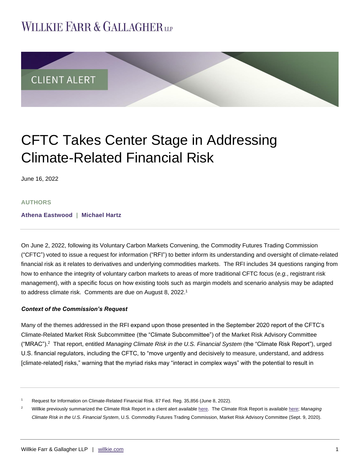## **WILLKIE FARR & GALLAGHERUP**



# CFTC Takes Center Stage in Addressing Climate-Related Financial Risk

June 16, 2022

#### **AUTHORS**

**[Athena Eastwood](https://www.willkie.com/professionals/e/eastwood-athena) | [Michael Hartz](https://www.willkie.com/professionals/h/hartz-michael)**

On June 2, 2022, following its Voluntary Carbon Markets Convening, the Commodity Futures Trading Commission ("CFTC") voted to issue a request for information ("RFI") to better inform its understanding and oversight of climate-related financial risk as it relates to derivatives and underlying commodities markets. The RFI includes 34 questions ranging from how to enhance the integrity of voluntary carbon markets to areas of more traditional CFTC focus (*e.g.*, registrant risk management), with a specific focus on how existing tools such as margin models and scenario analysis may be adapted to address climate risk. Comments are due on August 8, 2022. 1

#### *Context of the Commission's Request*

Many of the themes addressed in the RFI expand upon those presented in the September 2020 report of the CFTC's Climate-Related Market Risk Subcommittee (the "Climate Subcommittee") of the Market Risk Advisory Committee ("MRAC"). 2 That report, entitled *Managing Climate Risk in the U.S. Financial System* (the "Climate Risk Report"), urged U.S. financial regulators, including the CFTC, to "move urgently and decisively to measure, understand, and address [climate-related] risks," warning that the myriad risks may "interact in complex ways" with the potential to result in

<sup>1</sup> Request for Information on Climate-Related Financial Risk. 87 Fed. Reg. 35,856 (June 8, 2022).

<sup>&</sup>lt;sup>2</sup> Willkie previously summarized the Climate Risk Report in a client alert availabl[e here.](https://www.willkie.com/-/media/files/publications/2020/09/cftcsubcommitteepublishesreportwarningofrisktofina.pdf) The Climate Risk Report is availabl[e here;](https://www.cftc.gov/sites/default/files/2020-09/9-9-20%20Report%20of%20the%20Subcommittee%20on%20Climate-Related%20Market%20Risk%20-%20Managing%20Climate%20Risk%20in%20the%20U.S.%20Financial%20System%20for%20posting.pdf) Managing *Climate Risk in the U.S. Financial System*, U.S. Commodity Futures Trading Commission, Market Risk Advisory Committee (Sept. 9, 2020).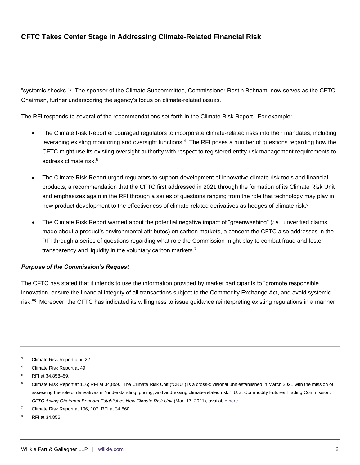## **CFTC Takes Center Stage in Addressing Climate-Related Financial Risk**

"systemic shocks."<sup>3</sup> The sponsor of the Climate Subcommittee, Commissioner Rostin Behnam, now serves as the CFTC Chairman, further underscoring the agency's focus on climate-related issues.

The RFI responds to several of the recommendations set forth in the Climate Risk Report. For example:

- The Climate Risk Report encouraged regulators to incorporate climate-related risks into their mandates, including leveraging existing monitoring and oversight functions.<sup>4</sup> The RFI poses a number of questions regarding how the CFTC might use its existing oversight authority with respect to registered entity risk management requirements to address climate risk. 5
- The Climate Risk Report urged regulators to support development of innovative climate risk tools and financial products, a recommendation that the CFTC first addressed in 2021 through the formation of its Climate Risk Unit and emphasizes again in the RFI through a series of questions ranging from the role that technology may play in new product development to the effectiveness of climate-related derivatives as hedges of climate risk.<sup>6</sup>
- The Climate Risk Report warned about the potential negative impact of "greenwashing" (*i.e.*, unverified claims made about a product's environmental attributes) on carbon markets, a concern the CFTC also addresses in the RFI through a series of questions regarding what role the Commission might play to combat fraud and foster transparency and liquidity in the voluntary carbon markets.<sup>7</sup>

#### *Purpose of the Commission's Request*

The CFTC has stated that it intends to use the information provided by market participants to "promote responsible innovation, ensure the financial integrity of all transactions subject to the Commodity Exchange Act, and avoid systemic risk."<sup>8</sup> Moreover, the CFTC has indicated its willingness to issue guidance reinterpreting existing regulations in a manner

<sup>3</sup> Climate Risk Report at ii, 22.

<sup>4</sup> Climate Risk Report at 49.

<sup>5</sup> RFI at 34,858–59.

<sup>6</sup> Climate Risk Report at 116; RFI at 34,859. The Climate Risk Unit ("CRU") is a cross-divisional unit established in March 2021 with the mission of assessing the role of derivatives in "understanding, pricing, and addressing climate-related risk." U.S. Commodity Futures Trading Commission. CFTC Acting Chairman Behnam Establishes New Climate Risk Unit (Mar. 17, 2021), available [here.](https://www.cftc.gov/PressRoom/PressReleases/8368-21)

Climate Risk Report at 106, 107; RFI at 34,860.

<sup>8</sup> RFI at 34,856.